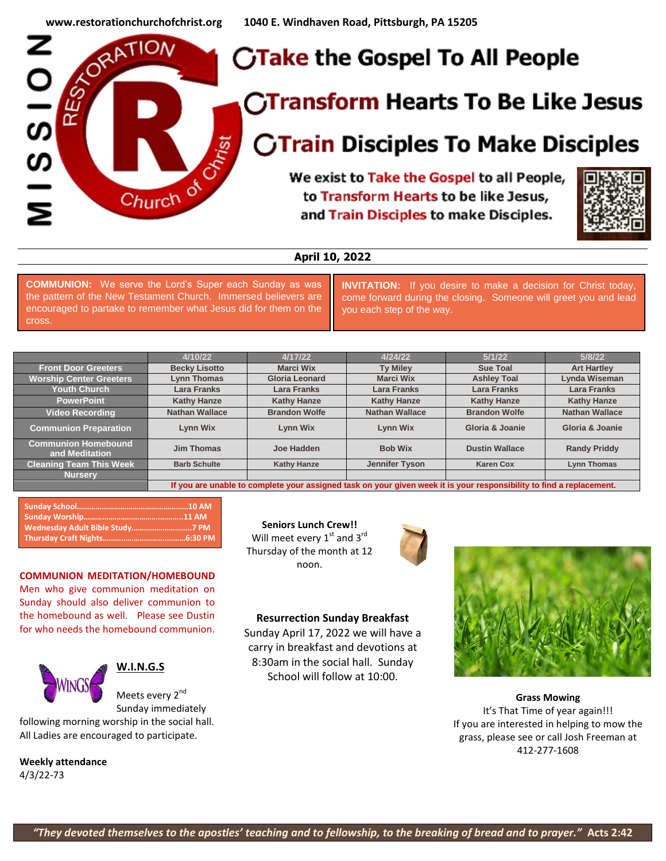

# **April 10, 2022**

**COMMUNION:** We serve the Lord's Super each Sunday as was the pattern of the New Testament Church. Immersed believers are encouraged to partake to remember what Jesus did for them on the cross.

**INVITATION:** If you desire to make a decision for Christ today, come forward during the closing. Someone will greet you and lead you each step of the way.

|                                              | 4/10/22                                                                                                              | 4/17/22               | 4/24/22               | 5/1/22                | 5/8/22                |
|----------------------------------------------|----------------------------------------------------------------------------------------------------------------------|-----------------------|-----------------------|-----------------------|-----------------------|
| <b>Front Door Greeters</b>                   | <b>Becky Lisotto</b>                                                                                                 | <b>Marci Wix</b>      | <b>Ty Miley</b>       | <b>Sue Toal</b>       | <b>Art Hartley</b>    |
| <b>Worship Center Greeters</b>               | <b>Lynn Thomas</b>                                                                                                   | <b>Gloria Leonard</b> | <b>Marci Wix</b>      | <b>Ashley Toal</b>    | Lynda Wiseman         |
| <b>Youth Church</b>                          | <b>Lara Franks</b>                                                                                                   | <b>Lara Franks</b>    | <b>Lara Franks</b>    | <b>Lara Franks</b>    | <b>Lara Franks</b>    |
| <b>PowerPoint</b>                            | <b>Kathy Hanze</b>                                                                                                   | <b>Kathy Hanze</b>    | <b>Kathy Hanze</b>    | <b>Kathy Hanze</b>    | <b>Kathy Hanze</b>    |
| <b>Video Recording</b>                       | <b>Nathan Wallace</b>                                                                                                | <b>Brandon Wolfe</b>  | <b>Nathan Wallace</b> | <b>Brandon Wolfe</b>  | <b>Nathan Wallace</b> |
| <b>Communion Preparation</b>                 | <b>Lynn Wix</b>                                                                                                      | <b>Lynn Wix</b>       | <b>Lynn Wix</b>       | Gloria & Joanie       | Gloria & Joanie       |
| <b>Communion Homebound</b><br>and Meditation | <b>Jim Thomas</b>                                                                                                    | Joe Hadden            | <b>Bob Wix</b>        | <b>Dustin Wallace</b> | <b>Randy Priddy</b>   |
| <b>Cleaning Team This Week</b>               | <b>Barb Schulte</b>                                                                                                  | <b>Kathy Hanze</b>    | <b>Jennifer Tyson</b> | <b>Karen Cox</b>      | <b>Lynn Thomas</b>    |
| <b>Nursery</b>                               |                                                                                                                      |                       |                       |                       |                       |
|                                              | If you are unable to complete your assigned task on your given week it is your responsibility to find a replacement. |                       |                       |                       |                       |

#### **COMMUNION MEDITATION/HOMEBOUND**

Men who give communion meditation on Sunday should also deliver communion to the homebound as well. Please see Dustin for who needs the homebound communion.



### **W.I.N.G.S**

Meets every 2<sup>nd</sup> Sunday immediately

following morning worship in the social hall. All Ladies are encouraged to participate.

**Weekly attendance** 4/3/22-73

**Seniors Lunch Crew!!** Will meet every  $1^{st}$  and  $3^{rd}$ Thursday of the month at 12 noon.

### **Resurrection Sunday Breakfast**

Sunday April 17, 2022 we will have a carry in breakfast and devotions at 8:30am in the social hall. Sunday School will follow at 10:00.



**Grass Mowing** It's That Time of year again!!! If you are interested in helping to mow the grass, please see or call Josh Freeman at 412-277-1608